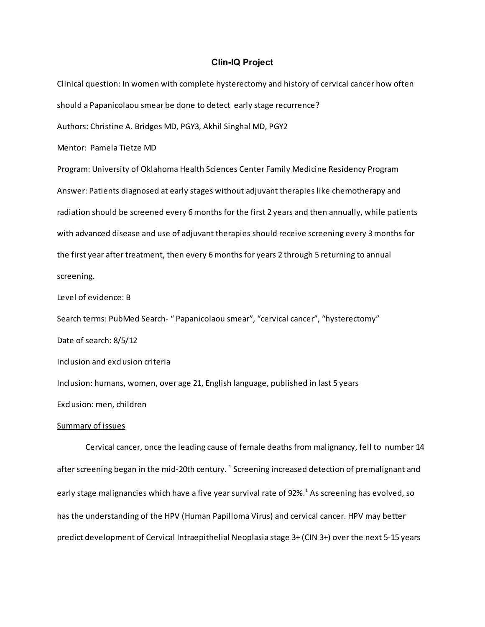## Clin-IQ Project

Clinical question: In women with complete hysterectomy and history of cervical cancer how often should a Papanicolaou smear be done to detect early stage recurrence? Authors: Christine A. Bridges MD, PGY3, Akhil Singhal MD, PGY2 Mentor: Pamela Tietze MD Program: University of Oklahoma Health Sciences Center Family Medicine Residency Program Answer: Patients diagnosed at early stages without adjuvant therapies like chemotherapy and radiation should be screened every 6 months for the first 2 years and then annually, while patients with advanced disease and use of adjuvant therapies should receive screening every 3 months for the first year after treatment, then every 6 months for years 2 through 5 returning to annual screening.

Level of evidence: B

Search terms: PubMed Search- " Papanicolaou smear", "cervical cancer", "hysterectomy"

Date of search: 8/5/12

Inclusion and exclusion criteria

Inclusion: humans, women, over age 21, English language, published in last 5 years

Exclusion: men, children

## Summary of issues

Cervical cancer, once the leading cause of female deaths from malignancy, fell to number 14 after screening began in the mid-20th century.  $^1$  Screening increased detection of premalignant and early stage malignancies which have a five year survival rate of 92%.<sup>1</sup> As screening has evolved, so has the understanding of the HPV (Human Papilloma Virus) and cervical cancer. HPV may better predict development of Cervical Intraepithelial Neoplasia stage 3+ (CIN 3+) over the next 5-15 years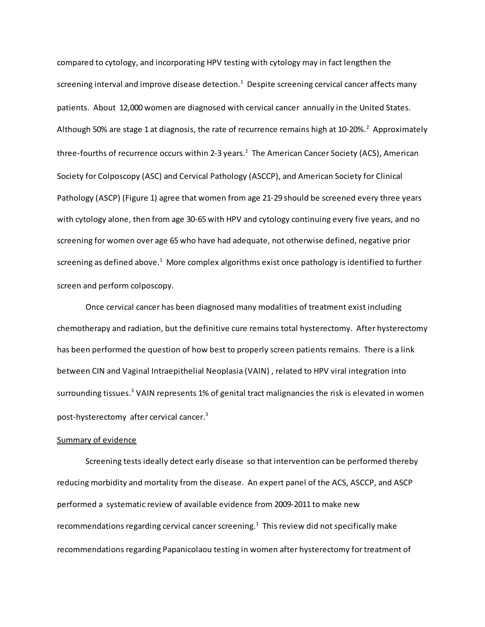compared to cytology, and incorporating HPV testing with cytology may in fact lengthen the screening interval and improve disease detection.<sup>1</sup> Despite screening cervical cancer affects many patients. About 12,000 women are diagnosed with cervical cancer annually in the United States. Although 50% are stage 1 at diagnosis, the rate of recurrence remains high at 10-20%.<sup>2</sup> Approximately three-fourths of recurrence occurs within 2-3 years.<sup>2</sup> The American Cancer Society (ACS), American Society for Colposcopy (ASC) and Cervical Pathology (ASCCP), and American Society for Clinical Pathology (ASCP) (Figure 1) agree that women from age 21-29 should be screened every three years with cytology alone, then from age 30-65 with HPV and cytology continuing every five years, and no screening for women over age 65 who have had adequate, not otherwise defined, negative prior screening as defined above. $^1$  More complex algorithms exist once pathology is identified to further screen and perform colposcopy.

Once cervical cancer has been diagnosed many modalities of treatment exist including chemotherapy and radiation, but the definitive cure remains total hysterectomy. After hysterectomy has been performed the question of how best to properly screen patients remains. There is a link between CIN and Vaginal Intraepithelial Neoplasia (VAIN) , related to HPV viral integration into surrounding tissues.<sup>3</sup> VAIN represents 1% of genital tract malignancies the risk is elevated in women post-hysterectomy after cervical cancer. 3

# Summary of evidence

Screening tests ideally detect early disease so that intervention can be performed thereby reducing morbidity and mortality from the disease. An expert panel of the ACS, ASCCP, and ASCP performed a systematic review of available evidence from 2009-2011 to make new recommendations regarding cervical cancer screening.<sup>1</sup> This review did not specifically make recommendations regarding Papanicolaou testing in women after hysterectomy for treatment of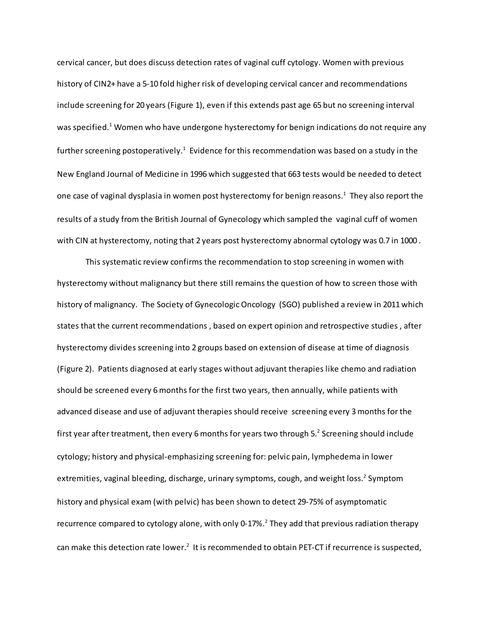cervical cancer, but does discuss detection rates of vaginal cuff cytology. Women with previous history of CIN2+ have a 5-10 fold higher risk of developing cervical cancer and recommendations include screening for 20 years (Figure 1), even if this extends past age 65 but no screening interval was specified.<sup>1</sup> Women who have undergone hysterectomy for benign indications do not require any further screening postoperatively. $^1$  Evidence for this recommendation was based on a study in the New England Journal of Medicine in 1996 which suggested that 663 tests would be needed to detect one case of vaginal dysplasia in women post hysterectomy for benign reasons.<sup>1</sup> They also report the results of a study from the British Journal of Gynecology which sampled the vaginal cuff of women with CIN at hysterectomy, noting that 2 years post hysterectomy abnormal cytology was 0.7 in 1000 .

This systematic review confirms the recommendation to stop screening in women with hysterectomy without malignancy but there still remains the question of how to screen those with history of malignancy. The Society of Gynecologic Oncology (SGO) published a review in 2011 which states that the current recommendations , based on expert opinion and retrospective studies , after hysterectomy divides screening into 2 groups based on extension of disease at time of diagnosis (Figure 2). Patients diagnosed at early stages without adjuvant therapies like chemo and radiation should be screened every 6 months for the first two years, then annually, while patients with advanced disease and use of adjuvant therapies should receive screening every 3 months for the first year after treatment, then every 6 months for years two through 5. $^2$  Screening should include cytology; history and physical-emphasizing screening for: pelvic pain, lymphedema in lower extremities, vaginal bleeding, discharge, urinary symptoms, cough, and weight loss.<sup>2</sup> Symptom history and physical exam (with pelvic) has been shown to detect 29-75% of asymptomatic recurrence compared to cytology alone, with only 0-17%.<sup>2</sup> They add that previous radiation therapy can make this detection rate lower.<sup>2</sup> It is recommended to obtain PET-CT if recurrence is suspected,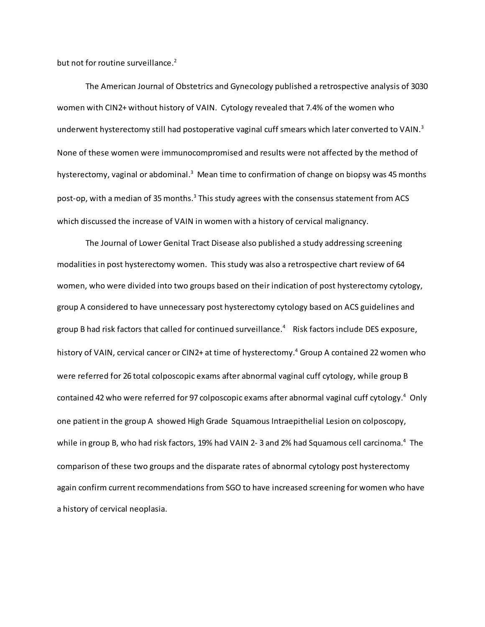but not for routine surveillance.<sup>2</sup>

The American Journal of Obstetrics and Gynecology published a retrospective analysis of 3030 women with CIN2+ without history of VAIN. Cytology revealed that 7.4% of the women who underwent hysterectomy still had postoperative vaginal cuff smears which later converted to VAIN.<sup>3</sup> None of these women were immunocompromised and results were not affected by the method of hysterectomy, vaginal or abdominal.<sup>3</sup> Mean time to confirmation of change on biopsy was 45 months post-op, with a median of 35 months.<sup>3</sup> This study agrees with the consensus statement from ACS which discussed the increase of VAIN in women with a history of cervical malignancy.

The Journal of Lower Genital Tract Disease also published a study addressing screening modalities in post hysterectomy women. This study was also a retrospective chart review of 64 women, who were divided into two groups based on their indication of post hysterectomy cytology, group A considered to have unnecessary post hysterectomy cytology based on ACS guidelines and group B had risk factors that called for continued surveillance. <sup>4</sup> Risk factors include DES exposure, history of VAIN, cervical cancer or CIN2+ at time of hysterectomy.<sup>4</sup> Group A contained 22 women who were referred for 26 total colposcopic exams after abnormal vaginal cuff cytology, while group B contained 42 who were referred for 97 colposcopic exams after abnormal vaginal cuff cytology.<sup>4</sup> Only one patient in the group A showed High Grade Squamous Intraepithelial Lesion on colposcopy, while in group B, who had risk factors, 19% had VAIN 2- 3 and 2% had Squamous cell carcinoma.<sup>4</sup> The comparison of these two groups and the disparate rates of abnormal cytology post hysterectomy again confirm current recommendations from SGO to have increased screening for women who have a history of cervical neoplasia.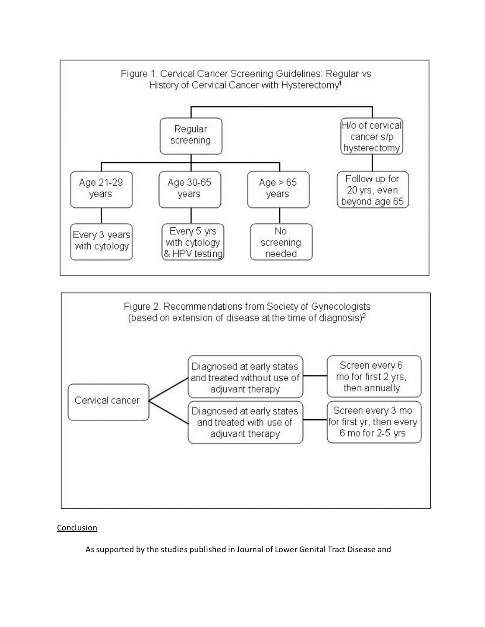



# Conclusion

As supported by the studies published in Journal of Lower Genital Tract Disease and